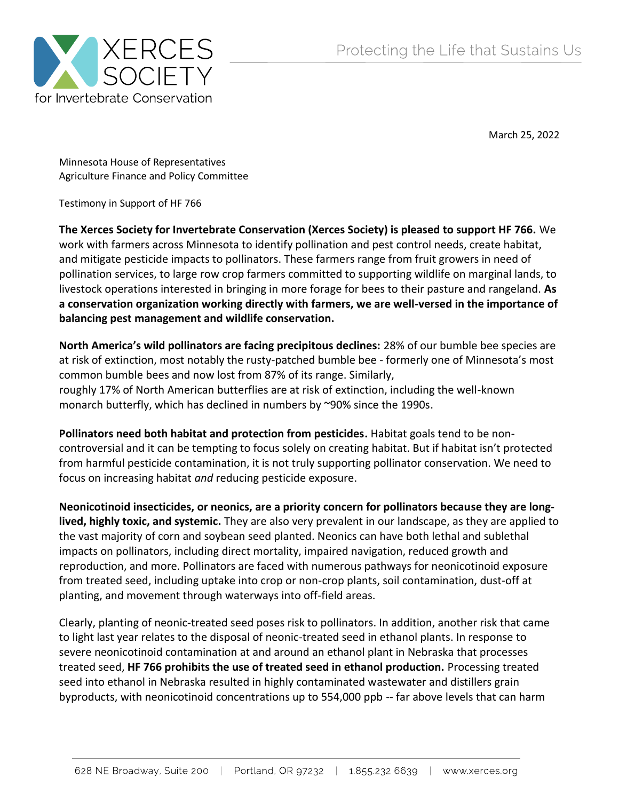

March 25, 2022

Minnesota House of Representatives Agriculture Finance and Policy Committee

Testimony in Support of HF 766

**The Xerces Society for Invertebrate Conservation (Xerces Society) is pleased to support HF 766.** We work with farmers across Minnesota to identify pollination and pest control needs, create habitat, and mitigate pesticide impacts to pollinators. These farmers range from fruit growers in need of pollination services, to large row crop farmers committed to supporting wildlife on marginal lands, to livestock operations interested in bringing in more forage for bees to their pasture and rangeland. **As a conservation organization working directly with farmers, we are well-versed in the importance of balancing pest management and wildlife conservation.**

**North America's wild pollinators are facing precipitous declines:** 28% of our bumble bee species are at risk of extinction, most notably the rusty-patched bumble bee - formerly one of Minnesota's most common bumble bees and now lost from 87% of its range. Similarly, roughly 17% of North American butterflies are at risk of extinction, including the well-known monarch butterfly, which has declined in numbers by ~90% since the 1990s.

**Pollinators need both habitat and protection from pesticides.** Habitat goals tend to be noncontroversial and it can be tempting to focus solely on creating habitat. But if habitat isn't protected from harmful pesticide contamination, it is not truly supporting pollinator conservation. We need to focus on increasing habitat *and* reducing pesticide exposure.

**Neonicotinoid insecticides, or neonics, are a priority concern for pollinators because they are longlived, highly toxic, and systemic.** They are also very prevalent in our landscape, as they are applied to the vast majority of corn and soybean seed planted. Neonics can have both lethal and sublethal impacts on pollinators, including direct mortality, impaired navigation, reduced growth and reproduction, and more. Pollinators are faced with numerous pathways for neonicotinoid exposure from treated seed, including uptake into crop or non-crop plants, soil contamination, dust-off at planting, and movement through waterways into off-field areas.

Clearly, planting of neonic-treated seed poses risk to pollinators. In addition, another risk that came to light last year relates to the disposal of neonic-treated seed in ethanol plants. In response to severe neonicotinoid contamination at and around an ethanol plant in Nebraska that processes treated seed, **HF 766 prohibits the use of treated seed in ethanol production.** Processing treated seed into ethanol in Nebraska resulted in highly contaminated wastewater and distillers grain byproducts, with neonicotinoid concentrations up to 554,000 ppb -- far above levels that can harm